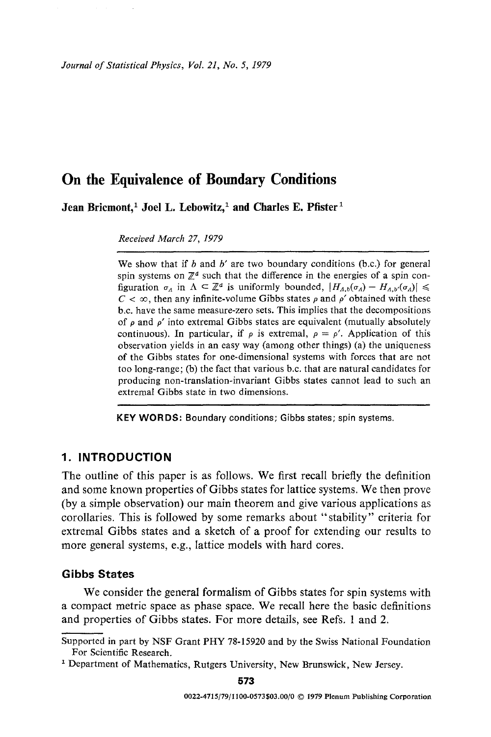*Journal of Statistical Physics, Vol. 21, No. 5, 1979* 

# **On the Equivalence of Boundary Conditions**

Jean Bricmont,<sup>1</sup> Joel L. Lebowitz,<sup>1</sup> and Charles E. Pfister<sup>1</sup>

*Received March 27, 1979* 

We show that if  $b$  and  $b'$  are two boundary conditions (b.c.) for general spin systems on  $\mathbb{Z}^d$  such that the difference in the energies of a spin configuration  $\sigma_A$  in  $\Lambda \subset \mathbb{Z}^d$  is uniformly bounded,  $|H_{A,b}(\sigma_A) - H_{A,b'}(\sigma_A)| \leq$  $C < \infty$ , then any infinite-volume Gibbs states  $\rho$  and  $\rho'$  obtained with these b.c. have the same measure-zero sets. This implies that the decompositions of  $\rho$  and  $\rho'$  into extremal Gibbs states are equivalent (mutually absolutely continuous). In particular, if  $\rho$  is extremal,  $\rho = \rho'$ . Application of this observation yields in an easy way (among other things) (a) the uniqueness of the Gibbs states for one-dimensional systems with forces that are not too long-range; (b) the fact that various b.c. that are natural candidates for producing non-translation-invariant Gibbs states cannot lead to such an extremal Gibbs state in two dimensions.

**KEY WORDS:** Boundary conditions; Gibbs states; spin systems.

# **1. INTRODUCTION**

The outline of this paper is as follows. We first recall briefly the definition and some known properties of Gibbs states for lattice systems. We then prove (by a simple observation) our main theorem and give various applications as corollaries. This is followed by some remarks about "stability" criteria for extremal Gibbs states and a sketch of a proof for extending our results to more general systems, e.g., lattice models with hard cores.

## **Gibbs States**

We consider the general formalism of Gibbs states for spin systems with a compact metric space as phase space. We recall here the basic definitions and properties of Gibbs states. For more details, see Refs. 1 and 2.

573

Supported in part by NSF Grant PHY 78-15920 and by the Swiss National Foundation For Scientific Research.

<sup>&</sup>lt;sup>1</sup> Department of Mathematics, Rutgers University, New Brunswick, New Jersey.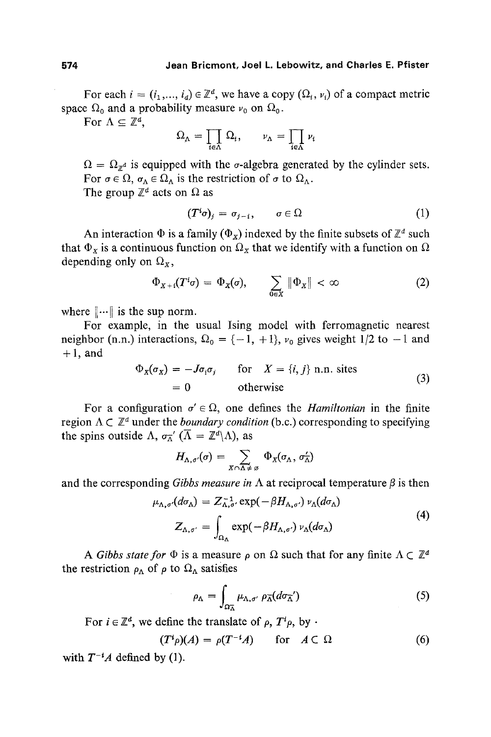For each  $i = (i_1, ..., i_d) \in \mathbb{Z}^d$ , we have a copy  $(\Omega_i, v_i)$  of a compact metric space  $\Omega_0$  and a probability measure  $\nu_0$  on  $\Omega_0$ .

For  $\Lambda \subseteq \mathbb{Z}^d$ ,

$$
\Omega_{\Lambda} = \prod_{i \in \Lambda} \Omega_i, \qquad \nu_{\Lambda} = \prod_{i \in \Lambda} \nu_i
$$

 $\Omega = \Omega_{\mathcal{P}^d}$  is equipped with the  $\sigma$ -algebra generated by the cylinder sets. For  $\sigma \in \Omega$ ,  $\sigma_{\Lambda} \in \Omega_{\Lambda}$  is the restriction of  $\sigma$  to  $\Omega_{\Lambda}$ . The group  $\mathbb{Z}^d$  acts on  $\Omega$  as

$$
(T^i\sigma)_j = \sigma_{j-i}, \qquad \sigma \in \Omega \tag{1}
$$

An interaction  $\Phi$  is a family ( $\Phi_x$ ) indexed by the finite subsets of  $\mathbb{Z}^d$  such that  $\Phi_x$  is a continuous function on  $\Omega_x$  that we identify with a function on  $\Omega$ depending only on  $\Omega_x$ ,

$$
\Phi_{X+i}(T^i\sigma) = \Phi_X(\sigma), \qquad \sum_{0 \in X} \|\Phi_X\| < \infty \tag{2}
$$

where  $\|\cdots\|$  is the sup norm.

For example, in the usual Ising model with ferromagnetic nearest neighbor (n.n.) interactions,  $\Omega_0 = \{-1, +1\}$ ,  $\nu_0$  gives weight 1/2 to  $-1$  and  $+1$ , and

$$
\Phi_{X}(\sigma_{X}) = -J\sigma_{i}\sigma_{j} \quad \text{for} \quad X = \{i, j\} \text{ n.n. sites}
$$
\n
$$
= 0 \quad \text{otherwise}
$$
\n(3)

For a configuration  $\sigma' \in \Omega$ , one defines the *Hamiltonian* in the finite region  $\Lambda \subset \mathbb{Z}^d$  under the *boundary condition* (b.c.) corresponding to specifying the spins outside  $\Lambda$ ,  $\sigma^{-\alpha}$  ( $\overline{\Lambda} = \mathbb{Z}^d \setminus \Lambda$ ), as

$$
H_{\Lambda,\sigma'}(\sigma)=\sum_{X\cap\Lambda\neq\varnothing}\Phi_X(\sigma_\Lambda,\,\sigma_\Lambda')
$$

and the corresponding *Gibbs measure in*  $\Lambda$  at reciprocal temperature  $\beta$  is then

$$
\mu_{\Lambda,\sigma'}(d\sigma_{\Lambda}) = Z_{\Lambda,\sigma'}^{-1} \exp(-\beta H_{\Lambda,\sigma'}) \nu_{\Lambda}(d\sigma_{\Lambda})
$$
  

$$
Z_{\Lambda,\sigma'} = \int_{\Omega_{\Lambda}} \exp(-\beta H_{\Lambda,\sigma'}) \nu_{\Lambda}(d\sigma_{\Lambda})
$$
 (4)

A *Gibbs state for*  $\Phi$  is a measure p on  $\Omega$  such that for any finite  $\Lambda \subset \mathbb{Z}^d$ the restriction  $\rho_{\Lambda}$  of  $\rho$  to  $\Omega_{\Lambda}$  satisfies

$$
\rho_{\Lambda} = \int_{\Omega_{\Lambda}^-} \mu_{\Lambda, \sigma'} \, \rho_{\Lambda}^- (d\sigma_{\Lambda}^-') \tag{5}
$$

For  $i \in \mathbb{Z}^d$ , we define the translate of  $\rho$ ,  $T^i \rho$ , by  $\cdot$ 

$$
(T^i \rho)(A) = \rho(T^{-i}A) \quad \text{for } A \subset \Omega \tag{6}
$$

with  $T^{-i}A$  defined by (1).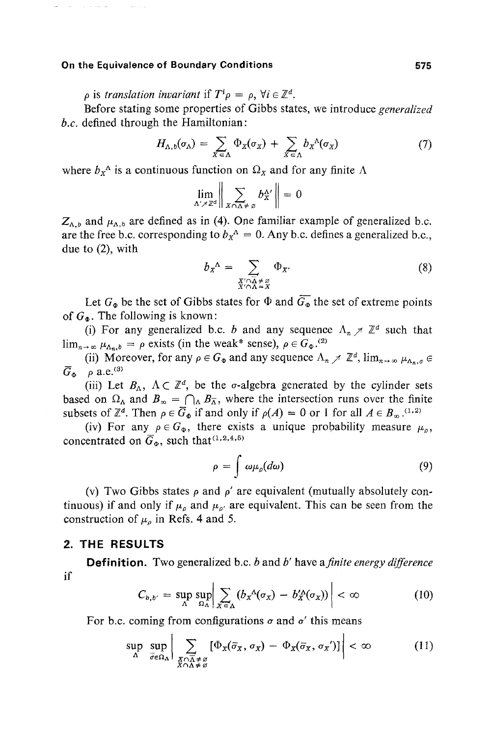المنتقل والتنابي

 $\rho$  is *translation invariant* if  $T^i \rho = \rho$ ,  $\forall i \in \mathbb{Z}^d$ .

Before stating some properties of Gibbs states, we introduce *generalized b.c.* defined through the Hamiltonian:

$$
H_{\Lambda,b}(\sigma_{\Lambda}) = \sum_{X \subset \Lambda} \Phi_X(\sigma_X) + \sum_{X \subset \Lambda} b_X{}^{\Lambda}(\sigma_X)
$$
 (7)

where  $b_x^{\Lambda}$  is a continuous function on  $\Omega_x$  and for any finite  $\Lambda$ 

$$
\lim_{\Delta' \nearrow \mathbb{Z}^d} \left\| \sum_{X \cap \Delta \neq \varnothing} b_X^{\Delta'} \right\| = 0
$$

 $Z_{\Lambda,b}$  and  $\mu_{\Lambda,b}$  are defined as in (4). One familiar example of generalized b.c. are the free b.c. corresponding to  $b_x^A = 0$ . Any b.c. defines a generalized b.c., due to (2), with

$$
b_{X}^{\Lambda} = \sum_{\substack{X' \cap \overline{\Lambda} \neq \emptyset \\ X' \cap \Lambda = X}} \Phi_{X'} \tag{8}
$$

Let  $G_{\Phi}$  be the set of Gibbs states for  $\Phi$  and  $\overline{G_{\Phi}}$  the set of extreme points of  $G_{\Phi}$ . The following is known:

(i) For any generalized b.c. b and any sequence  $\Lambda_n \nearrow \mathbb{Z}^d$  such that  $\lim_{n\to\infty} \mu_{\Delta_n,b} = \rho$  exists (in the weak\* sense),  $\rho \in G_{\Phi}^{(2)}$ .

(ii) Moreover, for any  $\rho \in G_{\Phi}$  and any sequence  $\Lambda_n \nearrow \mathbb{Z}^d$ ,  $\lim_{n \to \infty} \mu_{\Lambda_n, \sigma} \in$  $\overline{G}_{\Phi}$  p a.e.<sup>(3)</sup>

(iii) Let  $B_{\Lambda}$ ,  $\Lambda \subset \mathbb{Z}^d$ , be the  $\sigma$ -algebra generated by the cylinder sets based on  $\Omega_{\Lambda}$  and  $B_{\infty} = \bigcap_{\Lambda} B_{\Lambda}$ , where the intersection runs over the finite subsets of  $\mathbb{Z}^d$ . Then  $\rho \in \overline{G}_{\Phi}$  if and only if  $\rho(A) = 0$  or 1 for all  $A \in B_{\infty}$ .<sup>(1,2)</sup>

(iv) For any  $\rho \in G_{\Phi}$ , there exists a unique probability measure  $\mu_o$ , concentrated on  $\overline{G}_{\Phi}$ , such that<sup>(1,2,4,5)</sup>

$$
\rho = \int \omega \mu_{\rho}(d\omega) \tag{9}
$$

(v) Two Gibbs states  $\rho$  and  $\rho'$  are equivalent (mutually absolutely continuous) if and only if  $\mu_{\rho}$  and  $\mu_{\rho'}$  are equivalent. This can be seen from the construction of  $\mu_{\rho}$  in Refs. 4 and 5.

## **2. THE RESULTS**

**Definition.** Two generalized b.c. b and b' have *afinite energy difference*  if I

$$
C_{b,b'} = \sup_{\Lambda} \sup_{\Omega_{\Lambda}} \left| \sum_{X \in \Lambda} (b_X^{\Lambda}(\sigma_X) - b_X^{\prime \Lambda}(\sigma_X)) \right| < \infty \tag{10}
$$

For b.c. coming from configurations  $\sigma$  and  $\sigma'$  this means

$$
\sup_{\Lambda} \sup_{\overline{\sigma} \in \Omega_{\Lambda}} \Big| \sum_{\substack{X \cap \overline{\Lambda} \neq \emptyset \\ X \cap \Lambda \neq \emptyset}} \big[ \Phi_{X}(\overline{\sigma}_{X}, \sigma_{X}) - \Phi_{X}(\overline{\sigma}_{X}, \sigma_{X}) \big] \Big| < \infty \tag{11}
$$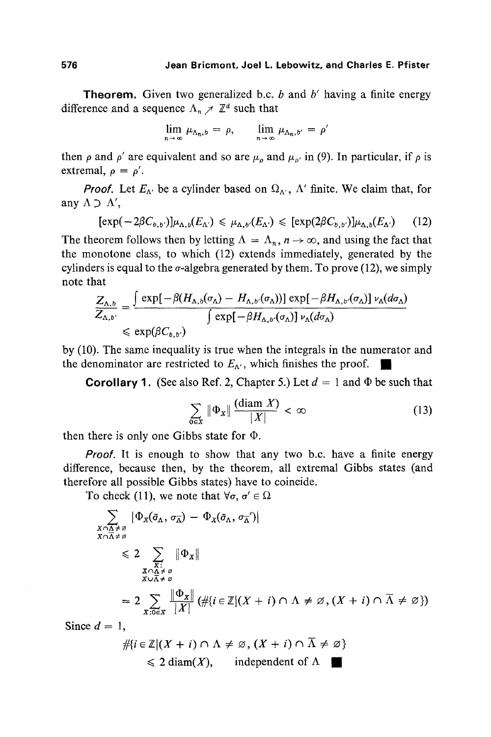**Theorem.** Given two generalized b.c. b and b' having a finite energy difference and a sequence  $\Lambda_n \nearrow \mathbb{Z}^d$  such that

$$
\lim_{n\to\infty}\mu_{\Lambda_n,b}=\rho,\qquad \lim_{n\to\infty}\mu_{\Lambda_n,b'}=\rho'
$$

then  $\rho$  and  $\rho'$  are equivalent and so are  $\mu_o$  and  $\mu_{o'}$  in (9). In particular, if  $\rho$  is extremal,  $\rho = \rho'$ .

*Proof.* Let  $E_{\Lambda}$  be a cylinder based on  $\Omega_{\Lambda}$ ,  $\Lambda$ ' finite. We claim that, for any  $\Lambda \supset \Lambda'$ ,

$$
[\exp(-2\beta C_{b,b'})]\mu_{\Lambda,b}(E_{\Lambda'}) \leq \mu_{\Lambda,b'}(E_{\Lambda'}) \leq [\exp(2\beta C_{b,b'})]\mu_{\Lambda,b}(E_{\Lambda'}) \qquad (12)
$$

The theorem follows then by letting  $\Lambda = \Lambda_n$ ,  $n \to \infty$ , and using the fact that the monotone class, to which (12) extends immediately, generated by the cylinders is equal to the  $\sigma$ -algebra generated by them. To prove (12), we simply note that

$$
\frac{Z_{\Lambda,b}}{Z_{\Lambda,b'}} = \frac{\int \exp[-\beta(H_{\Lambda,b}(\sigma_{\Lambda}) - H_{\Lambda,b'}(\sigma_{\Lambda}))] \exp[-\beta H_{\Lambda,b'}(\sigma_{\Lambda})] \nu_{\Lambda}(d\sigma_{\Lambda})}{\int \exp[-\beta H_{\Lambda,b'}(\sigma_{\Lambda})] \nu_{\Lambda}(d\sigma_{\Lambda})}
$$
  
\$\leq\$ exp( $\beta C_{b,b'}$ )

by (10). The same inequality is true when the integrals in the numerator and the denominator are restricted to  $E_{\Lambda}$ , which finishes the proof.

**Corollary 1.** (See also Ref. 2, Chapter 5.) Let  $d = 1$  and  $\Phi$  be such that

$$
\sum_{0 \in X} \|\Phi_x\| \frac{(\text{diam } X)}{|X|} < \infty \tag{13}
$$

then there is only one Gibbs state for  $\Phi$ .

*Proof.* It is enough to show that any two b.c. have a finite energy difference, because then, by the theorem, all extremal Gibbs states (and therefore all possible Gibbs states) have to coincide.

To check (11), we note that  $\forall \sigma, \sigma' \in \Omega$ 

$$
\sum_{\substack{X \cap \Lambda \neq \emptyset \\ X \cap \overline{\Lambda} \neq \emptyset}} |\Phi_X(\tilde{\sigma}_\Lambda, \sigma_{\overline{\Lambda}}) - \Phi_X(\tilde{\sigma}_\Lambda, \sigma_{\overline{\Lambda}}')|
$$
\n
$$
\leq 2 \sum_{\substack{X \cap \Lambda \neq \emptyset \\ X \cap \overline{\Lambda} \neq \emptyset}} |\Phi_X|
$$
\n
$$
= 2 \sum_{X \cap \overline{\Lambda} \neq \emptyset} \frac{|\Phi_X|}{|X|} (\# \{ i \in \mathbb{Z} | (X + i) \cap \Lambda \neq \emptyset, (X + i) \cap \overline{\Lambda} \neq \emptyset )\})
$$
\n
$$
d = 1
$$

Since  $d = 1$ .

$$
\# \{ i \in \mathbb{Z} | (X + i) \cap \Lambda \neq \emptyset, (X + i) \cap \overline{\Lambda} \neq \emptyset \} \leq 2 \operatorname{diam}(X), \qquad \text{independent of } \Lambda \quad \blacksquare
$$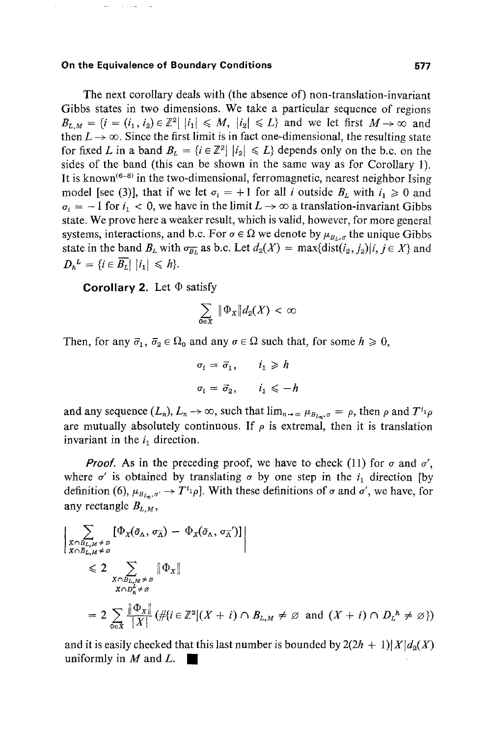المسترد والقرار

The next corollary deals with (the absence of) non-translation-invariant Gibbs states in two dimensions. We take a particular sequence of regions  $B_{L,M} = \{i = (i_1, i_2) \in \mathbb{Z}^2 \mid |i_1| \leq M, |i_2| \leq L\}$  and we let first  $M \rightarrow \infty$  and then  $L \rightarrow \infty$ . Since the first limit is in fact one-dimensional, the resulting state for fixed L in a band  $B_L = \{i \in \mathbb{Z}^2 | |i_2| \leq L\}$  depends only on the b.c. on the sides of the band (this can be shown in the same way as for Corollary 1). It is known<sup> $(6-8)$ </sup> in the two-dimensional, ferromagnetic, nearest neighbor Ising model [see (3)], that if we let  $\sigma_i = +1$  for all i outside  $B_L$  with  $i_1 \ge 0$  and  $\sigma_i = -1$  for  $i_1 < 0$ , we have in the limit  $L \rightarrow \infty$  a translation-invariant Gibbs state. We prove here a weaker result, which is valid, however, for more general systems, interactions, and b.c. For  $\sigma \in \Omega$  we denote by  $\mu_{B_{L}, \sigma}$  the unique Gibbs state in the band  $B_L$  with  $\sigma_{\overline{B_L}}$  as b.c. Let  $d_2(X) = \max\{\text{dist}(i_2, j_2)|i, j \in X\}$  and  $D_h^L = \{i \in \overline{B_L} | |i_1| \leq h\}.$ 

**Corollary 2.** Let  $\Phi$  satisfy

$$
\sum_{0\in X} \|\Phi_X\| d_2(X) < \infty
$$

Then, for any  $\bar{\sigma}_1$ ,  $\bar{\sigma}_2 \in \Omega_0$  and any  $\sigma \in \Omega$  such that, for some  $h \ge 0$ ,

$$
\sigma_i = \bar{\sigma}_1, \qquad i_1 \ge h
$$
  

$$
\sigma_i = \bar{\sigma}_2, \qquad i_1 \le -h
$$

and any sequence  $(L_n)$ ,  $L_n \to \infty$ , such that  $\lim_{n \to \infty} \mu_{B_{L_n},\sigma} = \rho$ , then  $\rho$  and  $T^{i_1}\rho$ are mutually absolutely continuous. If  $\rho$  is extremal, then it is translation invariant in the  $i_1$  direction.

*Proof.* As in the preceding proof, we have to check (11) for  $\sigma$  and  $\sigma'$ , where  $\sigma'$  is obtained by translating  $\sigma$  by one step in the  $i_1$  direction [by definition (6),  $\mu_{B_{L_m},\sigma} \to T^{i_1} \rho$ . With these definitions of  $\sigma$  and  $\sigma'$ , we have, for any rectangle  $B_{L,M}$ ,

$$
\left| \sum_{\substack{X \cap B_{L,M} \neq \emptyset \\ X \cap B_{L,M} \neq \emptyset}} \left[ \Phi_X(\tilde{\sigma}_\Lambda, \sigma_{\Lambda}) - \Phi_X(\tilde{\sigma}_\Lambda, \sigma_{\Lambda}^{-1}) \right] \right|
$$
  
\n
$$
\leq 2 \sum_{\substack{X \cap B_{L,M} \neq \emptyset \\ X \cap D_{h}^{k} \neq \emptyset}} \|\Phi_X\|
$$
  
\n
$$
= 2 \sum_{0 \in X} \frac{\|\Phi_X\|}{|X|} (\# \{i \in \mathbb{Z}^2 | (X + i) \cap B_{L,M} \neq \emptyset \text{ and } (X + i) \cap D_{L}^{-h} \neq \emptyset \})
$$

and it is easily checked that this last number is bounded by  $2(2h + 1)|X|d_2(X)$ uniformly in  $M$  and  $L$ .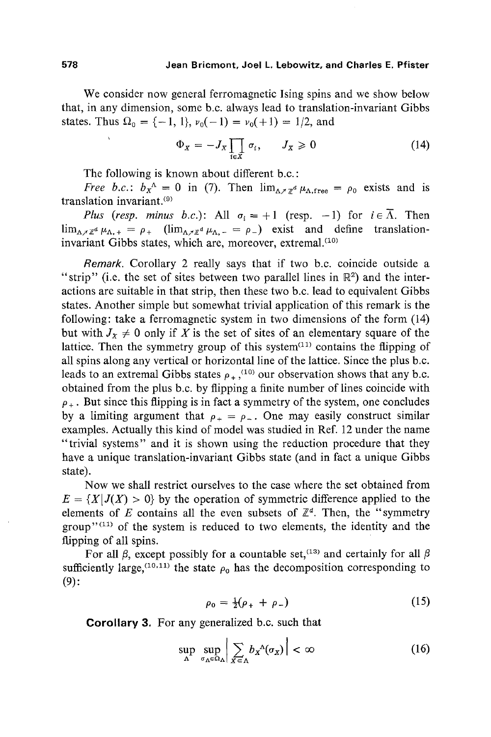We consider now general ferromagnetic lsing spins and we show below that, in any dimension, some b.c. always lead to translation-invariant Gibbs states. Thus  $\Omega_0 = \{-1, 1\}$ ,  $\nu_0(-1) = \nu_0(+1) = 1/2$ , and

$$
\Phi_X = -J_X \prod_{i \in X} \sigma_i, \qquad J_X \geq 0 \tag{14}
$$

The following is known about different b.c. :

*Free b.c.*:  $b_x^{\Lambda} = 0$  in (7). Then  $\lim_{\Lambda \nearrow \pi^d} \mu_{\Lambda, \text{free}} = \rho_0$  exists and is translation invariant. $(9)$ 

*Plus (resp. minus b.c.)*: All  $\sigma_i = +1$  (resp. -1) for  $i \in \overline{\Lambda}$ . Then  $\lim_{\Delta \nearrow \mathbb{Z}^d} \mu_{\Delta,+} = \rho_+$  ( $\lim_{\Delta \nearrow \mathbb{Z}^d} \mu_{\Delta,-} = \rho_-$ ) exist and define translationinvariant Gibbs states, which are, moreover, extremal. $(10)$ 

*Remark.* Corollary 2 really says that if two b.c. coincide outside a "strip" (i.e. the set of sites between two parallel lines in  $\mathbb{R}^2$ ) and the interactions are suitable in that strip, then these two b.c. lead to equivalent Gibbs states. Another simple but somewhat trivial application of this remark is the following: take a ferromagnetic system in two dimensions of the form (14) but with  $J_x \neq 0$  only if X is the set of sites of an elementary square of the lattice. Then the symmetry group of this system $(11)$  contains the flipping of all spins along any vertical or horizontal line of the lattice. Since the plus b.c. leads to an extremal Gibbs states  $\rho_{+}$ ,<sup>(10)</sup> our observation shows that any b.c. obtained from the plus b.c. by flipping a finite number of lines coincide with  $\rho_{+}$ . But since this flipping is in fact a symmetry of the system, one concludes by a limiting argument that  $\rho_+ = \rho_-$ . One may easily construct similar examples. Actually this kind of model was studied in Ref. 12 under the name "trivial systems" and it is shown using the reduction procedure that they have a unique translation-invariant Gibbs state (and in fact a unique Gibbs state).

Now we shall restrict ourselves to the case where the set obtained from  $E = \{X | J(X) > 0\}$  by the operation of symmetric difference applied to the elements of E contains all the even subsets of  $\mathbb{Z}^d$ . Then, the "symmetry group" $(11)$  of the system is reduced to two elements, the identity and the flipping of all spins.

For all  $\beta$ , except possibly for a countable set, <sup>(13)</sup> and certainly for all  $\beta$ sufficiently large,  $(10, 11)$  the state  $\rho_0$  has the decomposition corresponding to (9):

$$
\rho_0 = \frac{1}{2}(\rho_+ + \rho_-) \tag{15}
$$

**Corollary** 3, For any generalized b.c. such that

$$
\sup_{\Lambda} \sup_{\sigma_{\Lambda} \in \Omega_{\Lambda}} \left| \sum_{x \in \Lambda} b_{x}^{\Lambda}(\sigma_{x}) \right| < \infty \tag{16}
$$

 $\bar{\chi}$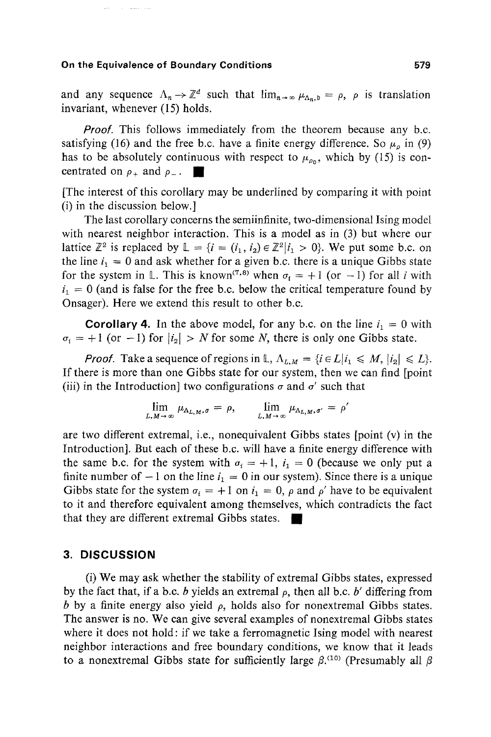**Contractor** 

and any sequence  $\Lambda_n \to \mathbb{Z}^d$  such that  $\lim_{n \to \infty} \mu_{\Lambda_n,b} = \rho$ ,  $\rho$  is translation invariant, whenever (15) holds.

*Proof.* This follows immediately from the theorem because any b.c. satisfying (16) and the free b.c. have a finite energy difference. So  $\mu_{o}$  in (9) has to be absolutely continuous with respect to  $\mu_{\rho_0}$ , which by (15) is concentrated on  $\rho_+$  and  $\rho_-$ .

[The interest of this corollary may be underlined by comparing it with point (i) in the discussion below.]

The last corollary concerns the semiinfinite, two-dimensional Ising model with nearest neighbor interaction. This is a model as in (3) but where our lattice  $\mathbb{Z}^2$  is replaced by  $\mathbb{L} = \{i = (i_1, i_2) \in \mathbb{Z}^2 | i_1 > 0 \}$ . We put some b.c. on the line  $i_1 = 0$  and ask whether for a given b.c. there is a unique Gibbs state for the system in L. This is known<sup>(7,8)</sup> when  $\sigma_i = +1$  (or -1) for all i with  $i_1 = 0$  (and is false for the free b.c. below the critical temperature found by Onsager). Here we extend this result to other b.c.

**Corollary 4.** In the above model, for any b.c. on the line  $i_1 = 0$  with  $\sigma_i = +1$  (or  $-1$ ) for  $|i_2| > N$  for some N, there is only one Gibbs state.

*Proof.* Take a sequence of regions in L,  $\Lambda_{L,M} = \{i \in L | i_1 \leq M, |i_2| \leq L \}$ . If there is more than one Gibbs state for our system, then we can find [point (iii) in the Introduction] two configurations  $\sigma$  and  $\sigma'$  such that

$$
\lim_{L,M\to\infty}\mu_{\Lambda_{L,M},\sigma}=\rho,\qquad \lim_{L,M\to\infty}\mu_{\Lambda_{L,M},\sigma'}=\rho'
$$

are two different extremal, i.e., nonequivalent Gibbs states [point (v) in the Introduction]. But each of these b.c. will have a finite energy difference with the same b.c. for the system with  $\sigma_i = +1$ ,  $i_1 = 0$  (because we only put a finite number of  $-1$  on the line  $i_1 = 0$  in our system). Since there is a unique Gibbs state for the system  $\sigma_i = +1$  on  $i_1 = 0$ ,  $\rho$  and  $\rho'$  have to be equivalent to it and therefore equivalent among themselves, which contradicts the fact that they are different extremal Gibbs states.  $\blacksquare$ 

## **3. DISCUSSION**

(i) We may ask whether the stability of extremal Gibbs states, expressed by the fact that, if a b.c. b yields an extremal  $\rho$ , then all b.c. b' differing from b by a finite energy also yield  $\rho$ , holds also for nonextremal Gibbs states. The answer is no. We can give several examples of nonextremal Gibbs states where it does not hold: if we take a ferromagnetic Ising model with nearest neighbor interactions and free boundary conditions, we know that it leads to a nonextremal Gibbs state for sufficiently large  $\beta$ .<sup>(10)</sup> (Presumably all  $\beta$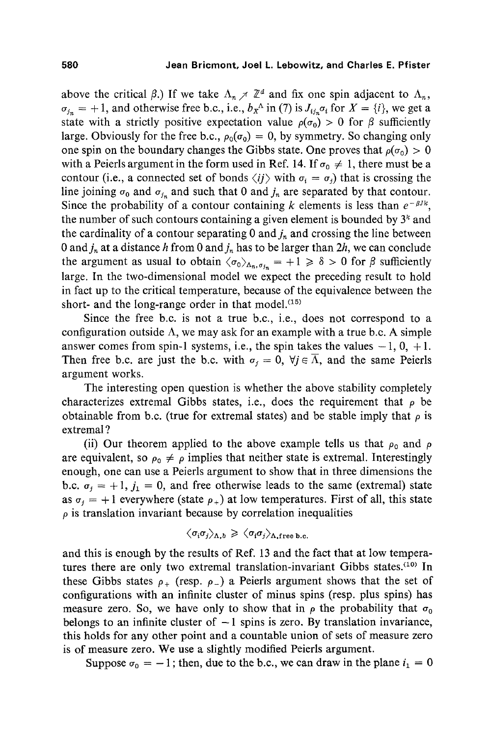above the critical  $\beta$ .) If we take  $\Lambda_n \neq \mathbb{Z}^d$  and fix one spin adjacent to  $\Lambda_n$ ,  $\sigma_{i_n} = +1$ , and otherwise free b.c., i.e.,  $b_x^{\Lambda}$  in (7) is  $J_{i,n}^{\Lambda} \sigma_i$  for  $X = \{i\}$ , we get a state with a strictly positive expectation value  $\rho(\sigma_0) > 0$  for  $\beta$  sufficiently large. Obviously for the free b.c.,  $\rho_0(\sigma_0) = 0$ , by symmetry. So changing only one spin on the boundary changes the Gibbs state. One proves that  $\rho(\sigma_0) > 0$ with a Peierls argument in the form used in Ref. 14. If  $\sigma_0 \neq 1$ , there must be a contour (i.e., a connected set of bonds  $\langle ij \rangle$  with  $\sigma_i = \sigma_j$ ) that is crossing the line joining  $\sigma_0$  and  $\sigma_{j_n}$  and such that 0 and  $j_n$  are separated by that contour. Since the probability of a contour containing k elements is less than  $e^{-\beta J k}$ , the number of such contours containing a given element is bounded by  $3<sup>k</sup>$  and the cardinality of a contour separating 0 and  $j_n$  and crossing the line between 0 and  $j_n$  at a distance h from 0 and  $j_n$  has to be larger than 2h, we can conclude the argument as usual to obtain  $\langle \sigma_0 \rangle_{\Lambda_n, \sigma_{i_n}} = +1 \geq \delta > 0$  for  $\beta$  sufficiently large. In the two-dimensional model we expect the preceding result to hold in fact up to the critical temperature, because of the equivalence between the short- and the long-range order in that model. $(15)$ 

Since the free b.c. is not a true b.c., i.e., does not correspond to a configuration outside  $\Lambda$ , we may ask for an example with a true b.c. A simple answer comes from spin-1 systems, i.e., the spin takes the values  $-1$ , 0,  $+1$ . Then free b.c. are just the b.c. with  $\sigma_i = 0$ ,  $\forall j \in \overline{\Lambda}$ , and the same Peierls argument works.

The interesting open question is whether the above stability completely characterizes extremal Gibbs states, i.e., does the requirement that  $\rho$  be obtainable from b.c. (true for extremal states) and be stable imply that  $\rho$  is extremal ?

(ii) Our theorem applied to the above example tells us that  $\rho_0$  and  $\rho$ are equivalent, so  $\rho_0 \neq \rho$  implies that neither state is extremal. Interestingly enough, one can use a Peierls argument to show that in three dimensions the b.c.  $\sigma_i = +1$ ,  $j_1 = 0$ , and free otherwise leads to the same (extremal) state as  $\sigma_i = +1$  everywhere (state  $\rho_{+}$ ) at low temperatures. First of all, this state  $\rho$  is translation invariant because by correlation inequalities

$$
\langle \sigma_i \sigma_j \rangle_{\Lambda, b} \geq \langle \sigma_i \sigma_j \rangle_{\Lambda, \text{free b.c.}}
$$

and this is enough by the results of Ref. 13 and the fact that at low temperatures there are only two extremal translation-invariant Gibbs states.<sup>(10)</sup> In these Gibbs states  $\rho_+$  (resp.  $\rho_-$ ) a Peierls argument shows that the set of configurations with an infinite cluster of minus spins (resp. plus spins) has measure zero. So, we have only to show that in  $\rho$  the probability that  $\sigma_0$ belongs to an infinite cluster of  $-1$  spins is zero. By translation invariance, this holds for any other point and a countable union of sets of measure zero is of measure zero. We use a slightly modified Peierls argument.

Suppose  $\sigma_0 = -1$ ; then, due to the b.c., we can draw in the plane  $i_1 = 0$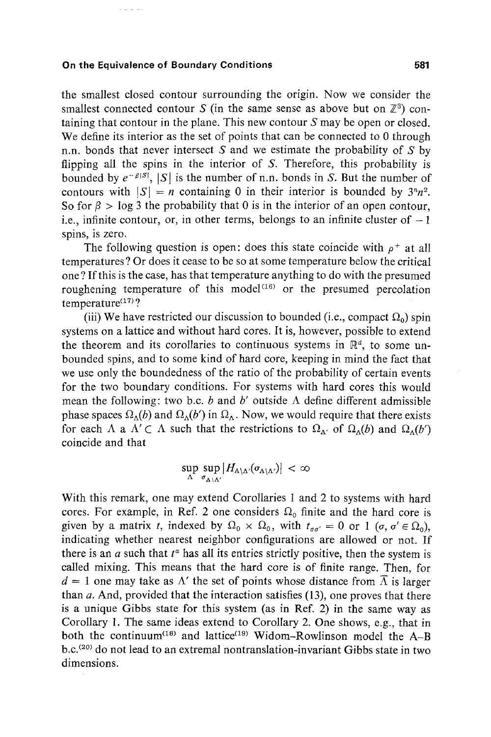the smallest closed contour surrounding the origin. Now we consider the smallest connected contour S (in the same sense as above but on  $\mathbb{Z}^3$ ) containing that contour in the plane. This new contour  $S$  may be open or closed. We define its interior as the set of points that can be connected to 0 through n.n. bonds that never intersect S and we estimate the probability of S by flipping all the spins in the interior of  $S$ . Therefore, this probability is bounded by  $e^{-\beta |S|}$ ,  $|S|$  is the number of n.n. bonds in S. But the number of contours with  $|S| = n$  containing 0 in their interior is bounded by  $3^n n^2$ . So for  $\beta$  > log 3 the probability that 0 is in the interior of an open contour, i.e., infinite contour, or, in other terms, belongs to an infinite cluster of  $-1$ spins, is zero.

The following question is open: does this state coincide with  $\rho^+$  at all temperatures ? Or does it cease to be so at some temperature below the critical one ? If this is the case, has that temperature anything to do with the presumed roughening temperature of this model<sup> $(16)$ </sup> or the presumed percolation temperature $(17)$ ?

(iii) We have restricted our discussion to bounded (i.e., compact  $\Omega_0$ ) spin systems on a lattice and without hard cores. It is, however, possible to extend the theorem and its corollaries to continuous systems in  $\mathbb{R}^d$ , to some unbounded spins, and to some kind of hard core, keeping in mind the fact that we use only the boundedness of the ratio of the probability of certain events for the two boundary conditions. For systems with hard cores this would mean the following: two b.c. b and b' outside  $\Lambda$  define different admissible phase spaces  $\Omega_{\Lambda}(b)$  and  $\Omega_{\Lambda}(b')$  in  $\Omega_{\Lambda}$ . Now, we would require that there exists for each  $\Lambda$  a  $\Lambda' \subset \Lambda$  such that the restrictions to  $\Omega_{\Lambda'}$  of  $\Omega_{\Lambda}(b)$  and  $\Omega_{\Lambda}(b')$ coincide and that

$$
\sup_{\Lambda} \sup_{\sigma_{\Lambda \setminus \Lambda'}} |H_{\Lambda \setminus \Lambda'}(\sigma_{\Lambda \setminus \Lambda'})| < \infty
$$

With this remark, one may extend Corollaries 1 and 2 to systems with hard cores. For example, in Ref. 2 one considers  $\Omega_0$  finite and the hard core is given by a matrix *t*, indexed by  $\Omega_0 \times \Omega_0$ , with  $t_{\sigma\sigma'} = 0$  or 1 ( $\sigma$ ,  $\sigma' \in \Omega_0$ ), indicating whether nearest neighbor configurations are allowed or not. If there is an  $a$  such that  $t^a$  has all its entries strictly positive, then the system is called mixing. This means that the hard core is of finite range. Then, for  $d = 1$  one may take as  $\Lambda'$  the set of points whose distance from  $\overline{\Lambda}$  is larger than  $a$ . And, provided that the interaction satisfies (13), one proves that there is a unique Gibbs state for this system (as in Ref. 2) in the same way as Corollary 1. The same ideas extend to Corollary 2. One shows, e.g., that in both the continuum<sup>(18)</sup> and lattice<sup>(19)</sup> Widom-Rowlinson model the  $A-B$ b.c.<sup>(20)</sup> do not lead to an extremal nontranslation-invariant Gibbs state in two dimensions.